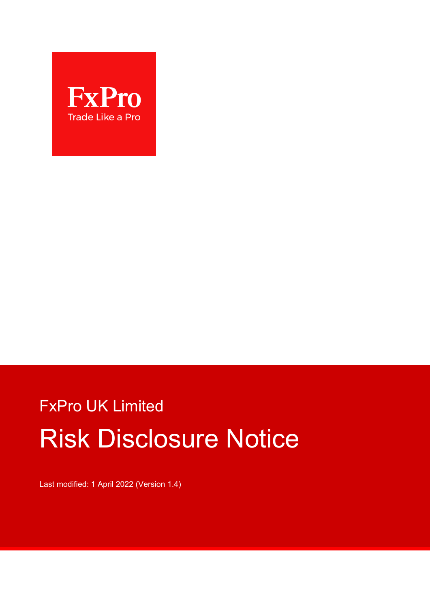

# FxPro UK Limited Risk Disclosure Notice

Last modified: 1 April 2022 (Version 1.4)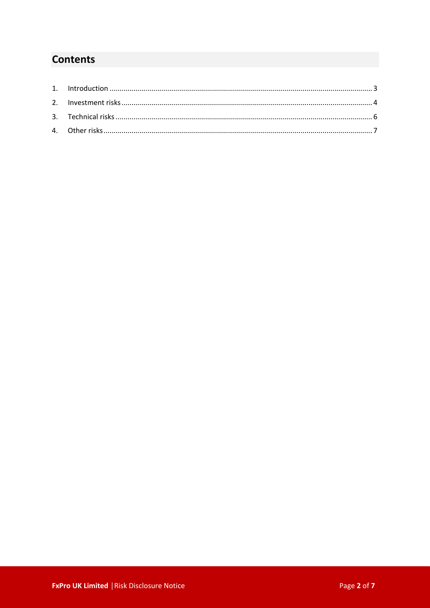## **Contents**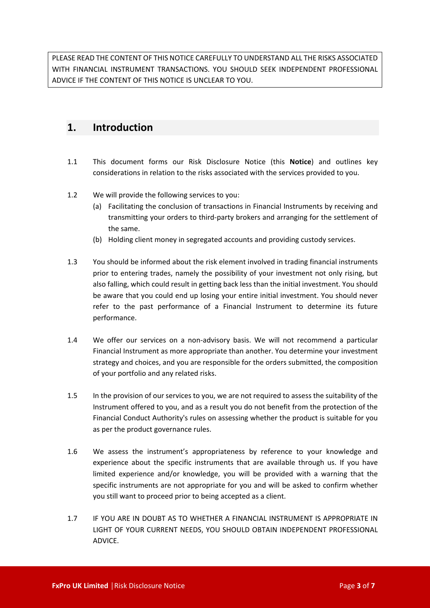PLEASE READ THE CONTENT OF THIS NOTICE CAREFULLY TO UNDERSTAND ALL THE RISKS ASSOCIATED WITH FINANCIAL INSTRUMENT TRANSACTIONS. YOU SHOULD SEEK INDEPENDENT PROFESSIONAL ADVICE IF THE CONTENT OF THIS NOTICE IS UNCLEAR TO YOU.

## <span id="page-2-0"></span>**1. Introduction**

- 1.1 This document forms our Risk Disclosure Notice (this **Notice**) and outlines key considerations in relation to the risks associated with the services provided to you.
- 1.2 We will provide the following services to you:
	- (a) Facilitating the conclusion of transactions in Financial Instruments by receiving and transmitting your orders to third-party brokers and arranging for the settlement of the same.
	- (b) Holding client money in segregated accounts and providing custody services.
- 1.3 You should be informed about the risk element involved in trading financial instruments prior to entering trades, namely the possibility of your investment not only rising, but also falling, which could result in getting back less than the initial investment. You should be aware that you could end up losing your entire initial investment. You should never refer to the past performance of a Financial Instrument to determine its future performance.
- 1.4 We offer our services on a non-advisory basis. We will not recommend a particular Financial Instrument as more appropriate than another. You determine your investment strategy and choices, and you are responsible for the orders submitted, the composition of your portfolio and any related risks.
- 1.5 In the provision of our services to you, we are not required to assess the suitability of the Instrument offered to you, and as a result you do not benefit from the protection of the Financial Conduct Authority's rules on assessing whether the product is suitable for you as per the product governance rules.
- 1.6 We assess the instrument's appropriateness by reference to your knowledge and experience about the specific instruments that are available through us. If you have limited experience and/or knowledge, you will be provided with a warning that the specific instruments are not appropriate for you and will be asked to confirm whether you still want to proceed prior to being accepted as a client.
- 1.7 IF YOU ARE IN DOUBT AS TO WHETHER A FINANCIAL INSTRUMENT IS APPROPRIATE IN LIGHT OF YOUR CURRENT NEEDS, YOU SHOULD OBTAIN INDEPENDENT PROFESSIONAL ADVICE.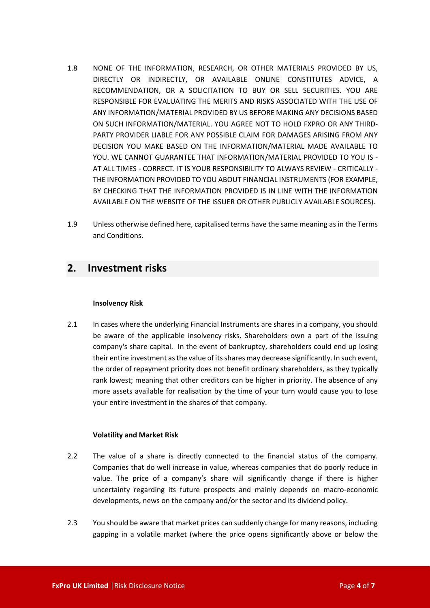- 1.8 NONE OF THE INFORMATION, RESEARCH, OR OTHER MATERIALS PROVIDED BY US, DIRECTLY OR INDIRECTLY, OR AVAILABLE ONLINE CONSTITUTES ADVICE, A RECOMMENDATION, OR A SOLICITATION TO BUY OR SELL SECURITIES. YOU ARE RESPONSIBLE FOR EVALUATING THE MERITS AND RISKS ASSOCIATED WITH THE USE OF ANY INFORMATION/MATERIAL PROVIDED BY US BEFORE MAKING ANY DECISIONS BASED ON SUCH INFORMATION/MATERIAL. YOU AGREE NOT TO HOLD FXPRO OR ANY THIRD-PARTY PROVIDER LIABLE FOR ANY POSSIBLE CLAIM FOR DAMAGES ARISING FROM ANY DECISION YOU MAKE BASED ON THE INFORMATION/MATERIAL MADE AVAILABLE TO YOU. WE CANNOT GUARANTEE THAT INFORMATION/MATERIAL PROVIDED TO YOU IS - AT ALL TIMES - CORRECT. IT IS YOUR RESPONSIBILITY TO ALWAYS REVIEW - CRITICALLY - THE INFORMATION PROVIDED TO YOU ABOUT FINANCIAL INSTRUMENTS (FOR EXAMPLE, BY CHECKING THAT THE INFORMATION PROVIDED IS IN LINE WITH THE INFORMATION AVAILABLE ON THE WEBSITE OF THE ISSUER OR OTHER PUBLICLY AVAILABLE SOURCES).
- 1.9 Unless otherwise defined here, capitalised terms have the same meaning as in the Terms and Conditions.

## <span id="page-3-0"></span>**2. Investment risks**

#### **Insolvency Risk**

2.1 In cases where the underlying Financial Instruments are shares in a company, you should be aware of the applicable insolvency risks. Shareholders own a part of the issuing company's share capital. In the event of bankruptcy, shareholders could end up losing their entire investment as the value of its shares may decrease significantly. In such event, the order of repayment priority does not benefit ordinary shareholders, as they typically rank lowest; meaning that other creditors can be higher in priority. The absence of any more assets available for realisation by the time of your turn would cause you to lose your entire investment in the shares of that company.

#### **Volatility and Market Risk**

- 2.2 The value of a share is directly connected to the financial status of the company. Companies that do well increase in value, whereas companies that do poorly reduce in value. The price of a company's share will significantly change if there is higher uncertainty regarding its future prospects and mainly depends on macro-economic developments, news on the company and/or the sector and its dividend policy.
- 2.3 You should be aware that market prices can suddenly change for many reasons, including gapping in a volatile market (where the price opens significantly above or below the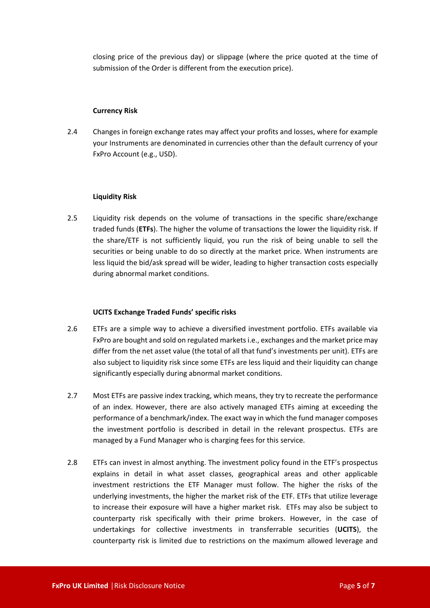closing price of the previous day) or slippage (where the price quoted at the time of submission of the Order is different from the execution price).

#### **Currency Risk**

2.4 Changes in foreign exchange rates may affect your profits and losses, where for example your Instruments are denominated in currencies other than the default currency of your FxPro Account (e.g., USD).

#### **Liquidity Risk**

2.5 Liquidity risk depends on the volume of transactions in the specific share/exchange traded funds (**ETFs**). The higher the volume of transactions the lower the liquidity risk. If the share/ETF is not sufficiently liquid, you run the risk of being unable to sell the securities or being unable to do so directly at the market price. When instruments are less liquid the bid/ask spread will be wider, leading to higher transaction costs especially during abnormal market conditions.

#### **UCITS Exchange Traded Funds' specific risks**

- 2.6 ETFs are a simple way to achieve a diversified investment portfolio. ETFs available via FxPro are bought and sold on regulated markets i.e., exchanges and the market price may differ from the net asset value (the total of all that fund's investments per unit). ETFs are also subject to liquidity risk since some ETFs are less liquid and their liquidity can change significantly especially during abnormal market conditions.
- 2.7 Most ETFs are passive index tracking, which means, they try to recreate the performance of an index. However, there are also actively managed ETFs aiming at exceeding the performance of a benchmark/index. The exact way in which the fund manager composes the investment portfolio is described in detail in the relevant prospectus. ETFs are managed by a Fund Manager who is charging fees for this service.
- 2.8 ETFs can invest in almost anything. The investment policy found in the ETF's prospectus explains in detail in what asset classes, geographical areas and other applicable investment restrictions the ETF Manager must follow. The higher the risks of the underlying investments, the higher the market risk of the ETF. ETFs that utilize leverage to increase their exposure will have a higher market risk. ETFs may also be subject to counterparty risk specifically with their prime brokers. However, in the case of undertakings for collective investments in transferrable securities (**UCITS**), the counterparty risk is limited due to restrictions on the maximum allowed leverage and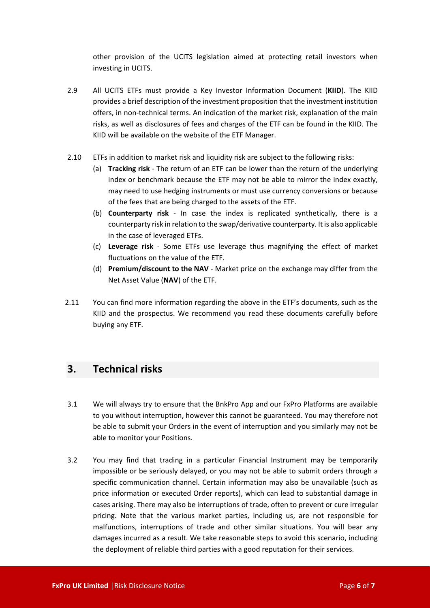other provision of the UCITS legislation aimed at protecting retail investors when investing in UCITS.

- 2.9 All UCITS ETFs must provide a Key Investor Information Document (**KIID**). The KIID provides a brief description of the investment proposition that the investment institution offers, in non-technical terms. An indication of the market risk, explanation of the main risks, as well as disclosures of fees and charges of the ETF can be found in the KIID. The KIID will be available on the website of the ETF Manager.
- 2.10 ETFs in addition to market risk and liquidity risk are subject to the following risks:
	- (a) **Tracking risk** The return of an ETF can be lower than the return of the underlying index or benchmark because the ETF may not be able to mirror the index exactly, may need to use hedging instruments or must use currency conversions or because of the fees that are being charged to the assets of the ETF.
	- (b) **Counterparty risk** In case the index is replicated synthetically, there is a counterparty risk in relation to the swap/derivative counterparty. It is also applicable in the case of leveraged ETFs.
	- (c) **Leverage risk** Some ETFs use leverage thus magnifying the effect of market fluctuations on the value of the ETF.
	- (d) **Premium/discount to the NAV** Market price on the exchange may differ from the Net Asset Value (**NAV**) of the ETF.
- 2.11 You can find more information regarding the above in the ETF's documents, such as the KIID and the prospectus. We recommend you read these documents carefully before buying any ETF.

## <span id="page-5-0"></span>**3. Technical risks**

- 3.1 We will always try to ensure that the BnkPro App and our FxPro Platforms are available to you without interruption, however this cannot be guaranteed. You may therefore not be able to submit your Orders in the event of interruption and you similarly may not be able to monitor your Positions.
- 3.2 You may find that trading in a particular Financial Instrument may be temporarily impossible or be seriously delayed, or you may not be able to submit orders through a specific communication channel. Certain information may also be unavailable (such as price information or executed Order reports), which can lead to substantial damage in cases arising. There may also be interruptions of trade, often to prevent or cure irregular pricing. Note that the various market parties, including us, are not responsible for malfunctions, interruptions of trade and other similar situations. You will bear any damages incurred as a result. We take reasonable steps to avoid this scenario, including the deployment of reliable third parties with a good reputation for their services.